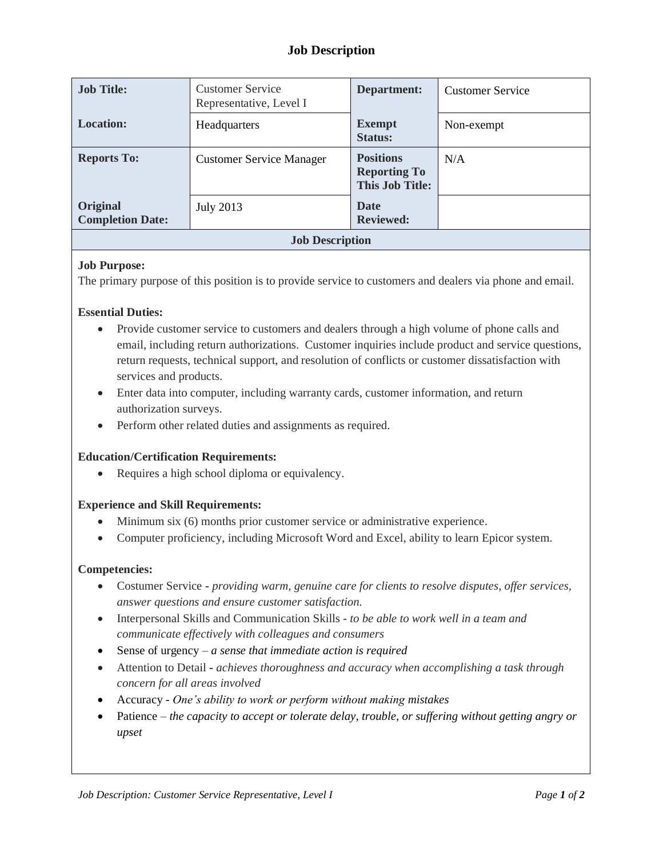# **Job Description**

| <b>Job Title:</b>                   | <b>Customer Service</b><br>Representative, Level I | Department:                                                       | <b>Customer Service</b> |  |
|-------------------------------------|----------------------------------------------------|-------------------------------------------------------------------|-------------------------|--|
| <b>Location:</b>                    | Headquarters                                       | <b>Exempt</b><br><b>Status:</b>                                   | Non-exempt              |  |
| <b>Reports To:</b>                  | <b>Customer Service Manager</b>                    | <b>Positions</b><br><b>Reporting To</b><br><b>This Job Title:</b> | N/A                     |  |
| Original<br><b>Completion Date:</b> | July 2013                                          | <b>Date</b><br><b>Reviewed:</b>                                   |                         |  |
| <b>Job Description</b>              |                                                    |                                                                   |                         |  |

## **Job Purpose:**

The primary purpose of this position is to provide service to customers and dealers via phone and email.

## **Essential Duties:**

- Provide customer service to customers and dealers through a high volume of phone calls and email, including return authorizations. Customer inquiries include product and service questions, return requests, technical support, and resolution of conflicts or customer dissatisfaction with services and products.
- Enter data into computer, including warranty cards, customer information, and return authorization surveys.
- Perform other related duties and assignments as required.

#### **Education/Certification Requirements:**

• Requires a high school diploma or equivalency.

#### **Experience and Skill Requirements:**

- Minimum six (6) months prior customer service or administrative experience.
- Computer proficiency, including Microsoft Word and Excel, ability to learn Epicor system.

#### **Competencies:**

- Costumer Service **-** *providing warm, genuine care for clients to resolve disputes, offer services, answer questions and ensure customer satisfaction.*
- Interpersonal Skills and Communication Skills *to be able to work well in a team and communicate effectively with colleagues and consumers*
- Sense of urgency *a sense that immediate action is required*
- Attention to Detail **-** *achieves thoroughness and accuracy when accomplishing a task through concern for all areas involved*
- Accuracy *One's ability to work or perform without making mistakes*
- Patience *the capacity to accept or tolerate delay, trouble, or suffering without getting angry or upset*